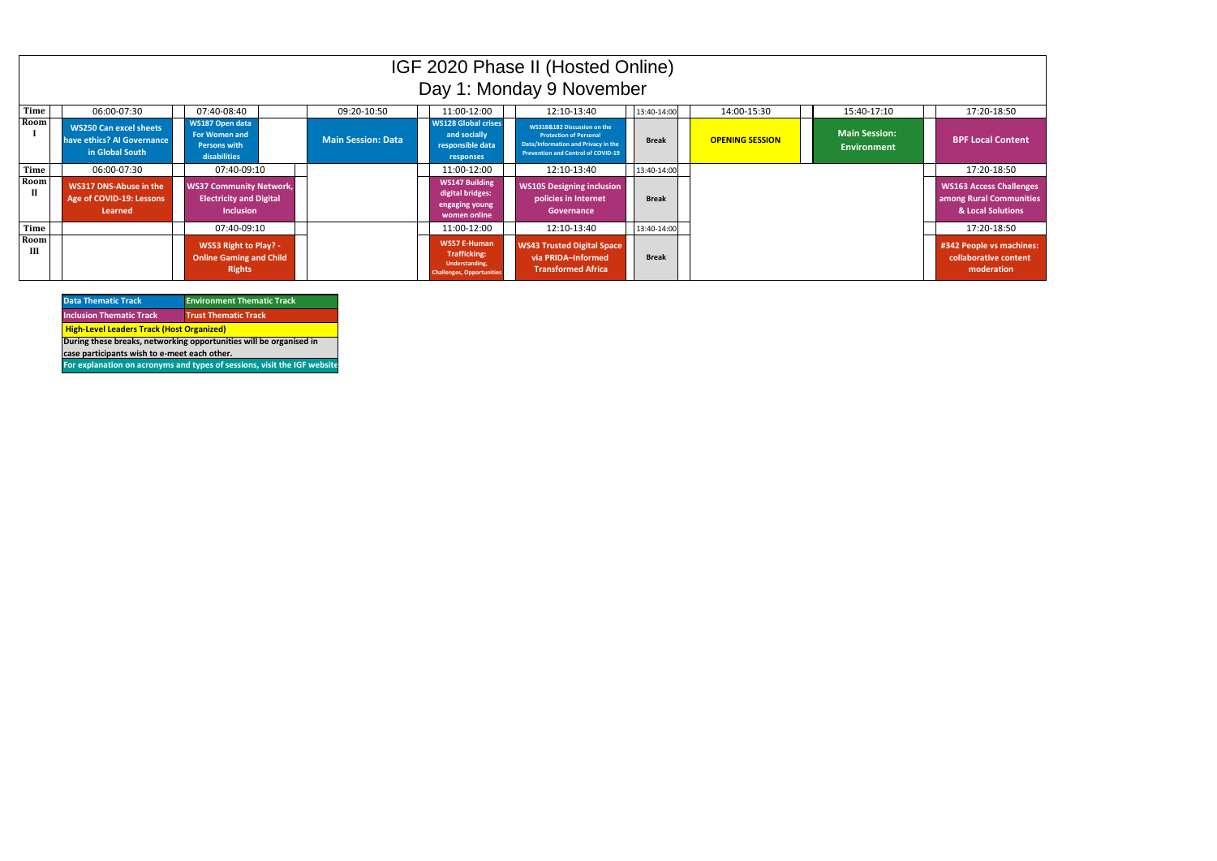| <b>Data Thematic Track</b>                                               | <b>Environment Thematic Track</b> |  |  |
|--------------------------------------------------------------------------|-----------------------------------|--|--|
| <b>Inclusion Thematic Track</b>                                          | <b>Trust Thematic Track</b>       |  |  |
| <b>High-Level Leaders Track (Host Organized)</b>                         |                                   |  |  |
| During these breaks, networking opportunities will be organised in       |                                   |  |  |
| case participants wish to e-meet each other.                             |                                   |  |  |
| For explanation on acronyms and types of sessions, visit the IGF website |                                   |  |  |

| IGF 2020 Phase II (Hosted Online)<br>Day 1: Monday 9 November |                                                                                |                                                                                      |                           |                                                                                                  |                                                                                                                                                  |              |                        |                                            |                                                                  |
|---------------------------------------------------------------|--------------------------------------------------------------------------------|--------------------------------------------------------------------------------------|---------------------------|--------------------------------------------------------------------------------------------------|--------------------------------------------------------------------------------------------------------------------------------------------------|--------------|------------------------|--------------------------------------------|------------------------------------------------------------------|
| Time                                                          | 06:00-07:30                                                                    | 07:40-08:40                                                                          | 09:20-10:50               | 11:00-12:00                                                                                      | 12:10-13:40                                                                                                                                      | 13:40-14:00  | 14:00-15:30            | 15:40-17:10                                | 17:20-18:50                                                      |
| Room                                                          | <b>WS250 Can excel sheets</b><br>have ethics? Al Governance<br>in Global South | WS187 Open data<br><b>For Women and</b><br><b>Persons with</b><br>disabilities       | <b>Main Session: Data</b> | <b>WS128 Global crises</b><br>and socially<br>responsible data<br>responses                      | WS318&182 Discussion on the<br><b>Protection of Personal</b><br>Data/Information and Privacy in the<br><b>Prevention and Control of COVID-19</b> | <b>Break</b> | <b>OPENING SESSION</b> | <b>Main Session:</b><br><b>Environment</b> | <b>BPF Local Cont</b>                                            |
| <b>Time</b>                                                   | 06:00-07:30                                                                    | 07:40-09:10                                                                          |                           | 11:00-12:00                                                                                      | 12:10-13:40                                                                                                                                      | 13:40-14:00  |                        |                                            | 17:20-18:50                                                      |
| Room<br>$\mathbf{I}$                                          | WS317 DNS-Abuse in the<br>Age of COVID-19: Lessons<br>Learned                  | <b>WS37 Community Network,</b><br><b>Electricity and Digital</b><br><b>Inclusion</b> |                           | <b>WS147 Building</b><br>digital bridges:<br>engaging young<br>women online                      | <b>WS105 Designing inclusion</b><br>policies in Internet<br>Governance                                                                           | <b>Break</b> |                        |                                            | <b>WS163 Access Chall</b><br>among Rural Comm<br>& Local Solutio |
| Time                                                          |                                                                                | 07:40-09:10                                                                          |                           | 11:00-12:00                                                                                      | 12:10-13:40                                                                                                                                      | 13:40-14:00  |                        |                                            | 17:20-18:50                                                      |
| Room<br>III                                                   |                                                                                | WS53 Right to Play? -<br><b>Online Gaming and Child</b><br><b>Rights</b>             |                           | <b>WS57 E-Human</b><br><b>Trafficking:</b><br>Understanding,<br><b>Challenges, Opportunities</b> | <b>WS43 Trusted Digital Space</b><br>via PRIDA-Informed<br><b>Transformed Africa</b>                                                             | <b>Break</b> |                        |                                            | #342 People vs mad<br>collaborative cont<br>moderation           |

| 15:40-17:10                                | 17:20-18:50                                                                    |
|--------------------------------------------|--------------------------------------------------------------------------------|
| <b>Main Session:</b><br><b>Environment</b> | <b>BPF Local Content</b>                                                       |
|                                            | 17:20-18:50                                                                    |
|                                            | <b>WS163 Access Challenges</b><br>among Rural Communities<br>& Local Solutions |
|                                            | 17:20-18:50                                                                    |
|                                            | #342 People vs machines:<br>collaborative content<br>moderation                |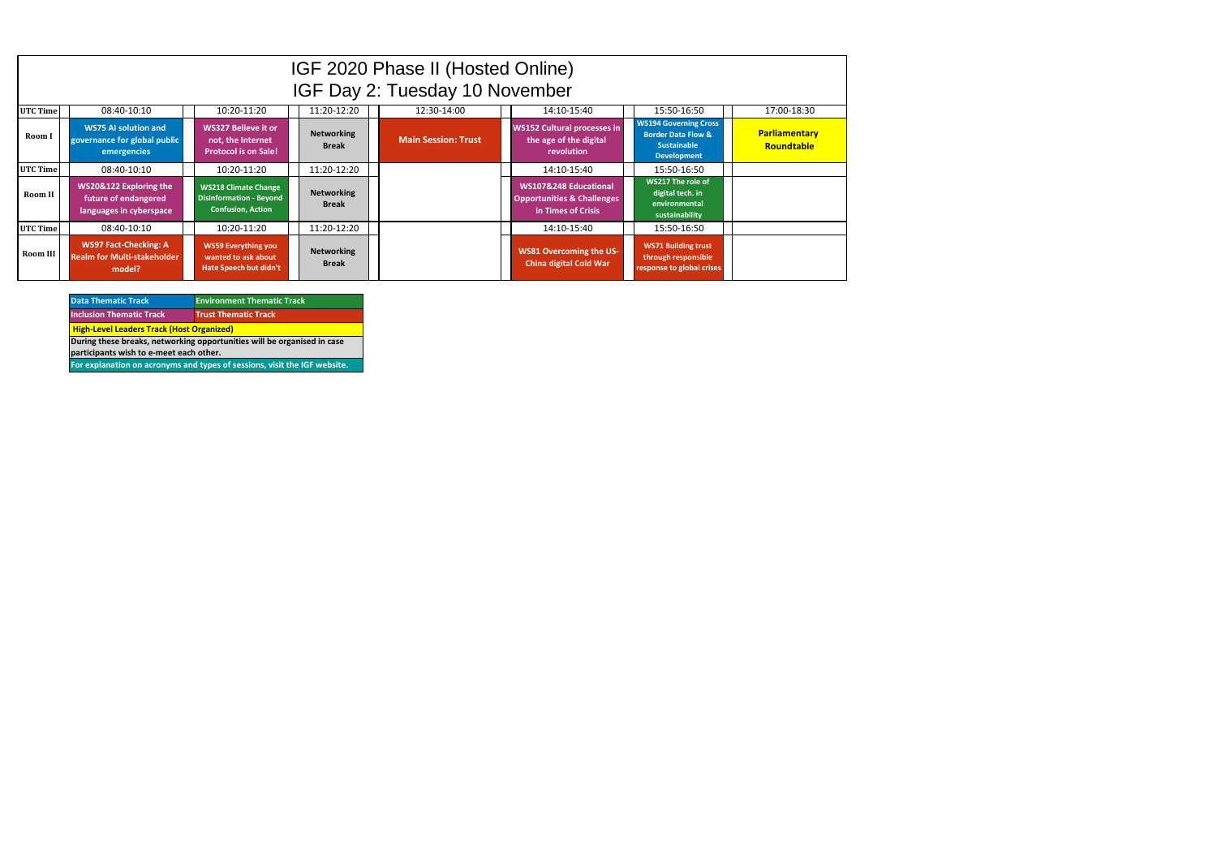|          | IGF 2020 Phase II (Hosted Online)<br>IGF Day 2: Tuesday 10 November                                   |                                                                                    |                                   |                            |                                                                                      |                                                                                                           |                                           |
|----------|-------------------------------------------------------------------------------------------------------|------------------------------------------------------------------------------------|-----------------------------------|----------------------------|--------------------------------------------------------------------------------------|-----------------------------------------------------------------------------------------------------------|-------------------------------------------|
| UTC Time | 11:20-12:20<br>10:20-11:20<br>12:30-14:00<br>14:10-15:40<br>17:00-18:30<br>08:40-10:10<br>15:50-16:50 |                                                                                    |                                   |                            |                                                                                      |                                                                                                           |                                           |
| Room I   | <b>WS75 AI solution and</b><br>governance for global public<br>emergencies                            | <b>WS327 Believe it or</b><br>not, the Internet<br><b>Protocol is on Sale!</b>     | <b>Networking</b><br><b>Break</b> | <b>Main Session: Trust</b> | <b>WS152 Cultural processes in</b><br>the age of the digital<br>revolution           | <b>WS194 Governing Cross</b><br><b>Border Data Flow &amp;</b><br><b>Sustainable</b><br><b>Development</b> | <b>Parliamentary</b><br><b>Roundtable</b> |
| UTC Time | 08:40-10:10                                                                                           | 10:20-11:20                                                                        | 11:20-12:20                       |                            | 14:10-15:40                                                                          | 15:50-16:50                                                                                               |                                           |
| Room II  | WS20&122 Exploring the<br>future of endangered<br>languages in cyberspace                             | <b>WS218 Climate Change</b><br>Disinformation - Beyond<br><b>Confusion, Action</b> | <b>Networking</b><br><b>Break</b> |                            | WS107&248 Educational<br><b>Opportunities &amp; Challenges</b><br>in Times of Crisis | WS217 The role of<br>digital tech. in<br>environmental<br>sustainability                                  |                                           |
| UTC Time | 08:40-10:10                                                                                           | 10:20-11:20                                                                        | 11:20-12:20                       |                            | 14:10-15:40                                                                          | 15:50-16:50                                                                                               |                                           |
| Room III | <b>WS97 Fact-Checking: A</b><br><b>Realm for Multi-stakeholder</b><br>model?                          | <b>WS59 Everything you</b><br>wanted to ask about<br>Hate Speech but didn't        | <b>Networking</b><br><b>Break</b> |                            | <b>WS81 Overcoming the US-</b><br><b>China digital Cold War</b>                      | <b>WS71 Building trust</b><br>through responsible<br>response to global crises                            |                                           |

| <b>Data Thematic Track</b>                                                | <b>Environment Thematic Track</b> |  |  |  |
|---------------------------------------------------------------------------|-----------------------------------|--|--|--|
| <b>Inclusion Thematic Track</b>                                           | <b>Trust Thematic Track</b>       |  |  |  |
| <b>High-Level Leaders Track (Host Organized)</b>                          |                                   |  |  |  |
| During these breaks, networking opportunities will be organised in case   |                                   |  |  |  |
| participants wish to e-meet each other.                                   |                                   |  |  |  |
| For explanation on acronyms and types of sessions, visit the IGF website. |                                   |  |  |  |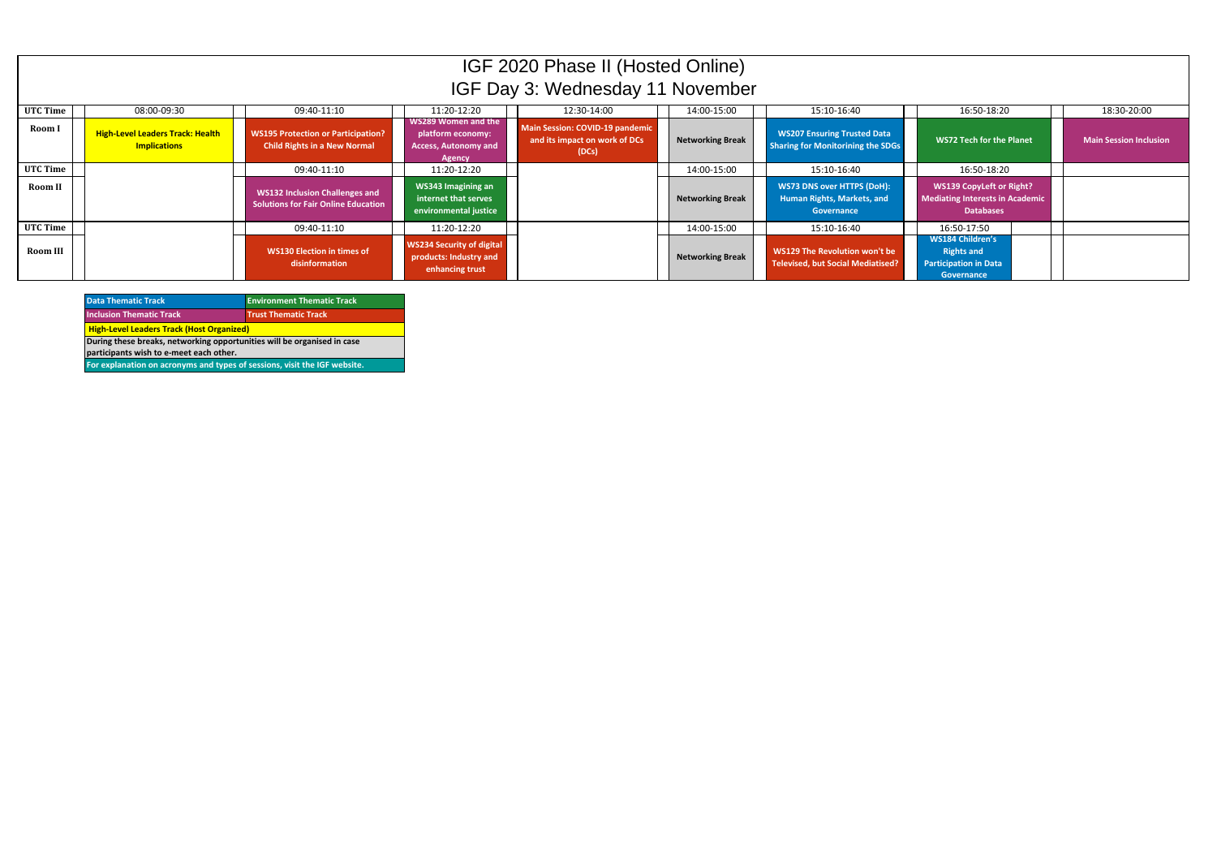| <b>Data Thematic Track</b>                                                | <b>Environment Thematic Track</b> |  |  |  |
|---------------------------------------------------------------------------|-----------------------------------|--|--|--|
| <b>Inclusion Thematic Track</b>                                           | <b>Trust Thematic Track</b>       |  |  |  |
| <b>High-Level Leaders Track (Host Organized)</b>                          |                                   |  |  |  |
| During these breaks, networking opportunities will be organised in case   |                                   |  |  |  |
| participants wish to e-meet each other.                                   |                                   |  |  |  |
| For explanation on acronyms and types of sessions, visit the IGF website. |                                   |  |  |  |

|          | IGF 2020 Phase II (Hosted Online)                              |                                                                                     |                                                                                   |                                                                           |                         |                                                                                |                                                                                               |                               |
|----------|----------------------------------------------------------------|-------------------------------------------------------------------------------------|-----------------------------------------------------------------------------------|---------------------------------------------------------------------------|-------------------------|--------------------------------------------------------------------------------|-----------------------------------------------------------------------------------------------|-------------------------------|
|          |                                                                |                                                                                     |                                                                                   | IGF Day 3: Wednesday 11 November                                          |                         |                                                                                |                                                                                               |                               |
| UTC Time | 08:00-09:30                                                    | 09:40-11:10                                                                         | 11:20-12:20                                                                       | 12:30-14:00                                                               | 14:00-15:00             | 15:10-16:40                                                                    | 16:50-18:20                                                                                   | 18:30-20:00                   |
| Room I   | <b>High-Level Leaders Track: Health</b><br><b>Implications</b> | <b>WS195 Protection or Participation?</b><br><b>Child Rights in a New Normal</b>    | WS289 Women and the<br>platform economy:<br><b>Access, Autonomy and</b><br>Agency | Main Session: COVID-19 pandemic<br>and its impact on work of DCs<br>(DCs) | <b>Networking Break</b> | <b>WS207 Ensuring Trusted Data</b><br><b>Sharing for Monitorining the SDGs</b> | <b>WS72 Tech for the Planet</b>                                                               | <b>Main Session Inclusion</b> |
| UTC Time |                                                                | 09:40-11:10                                                                         | 11:20-12:20                                                                       |                                                                           | 14:00-15:00             | 15:10-16:40                                                                    | 16:50-18:20                                                                                   |                               |
| Room II  |                                                                | <b>WS132 Inclusion Challenges and</b><br><b>Solutions for Fair Online Education</b> | WS343 Imagining an<br>internet that serves<br>environmental justice               |                                                                           | <b>Networking Break</b> | <b>WS73 DNS over HTTPS (DoH):</b><br>Human Rights, Markets, and<br>Governance  | <b>WS139 CopyLeft or Right?</b><br><b>Mediating Interests in Academic</b><br><b>Databases</b> |                               |
| UTC Time |                                                                | 09:40-11:10                                                                         | 11:20-12:20                                                                       |                                                                           | 14:00-15:00             | 15:10-16:40                                                                    | 16:50-17:50                                                                                   |                               |
| Room III |                                                                | <b>WS130 Election in times of</b><br>disinformation                                 | <b>WS234 Security of digital</b><br>products: Industry and<br>enhancing trust     |                                                                           | <b>Networking Break</b> | WS129 The Revolution won't be<br><b>Televised, but Social Mediatised?</b>      | <b>WS184 Children's</b><br><b>Rights and</b><br><b>Participation in Data</b><br>Governance    |                               |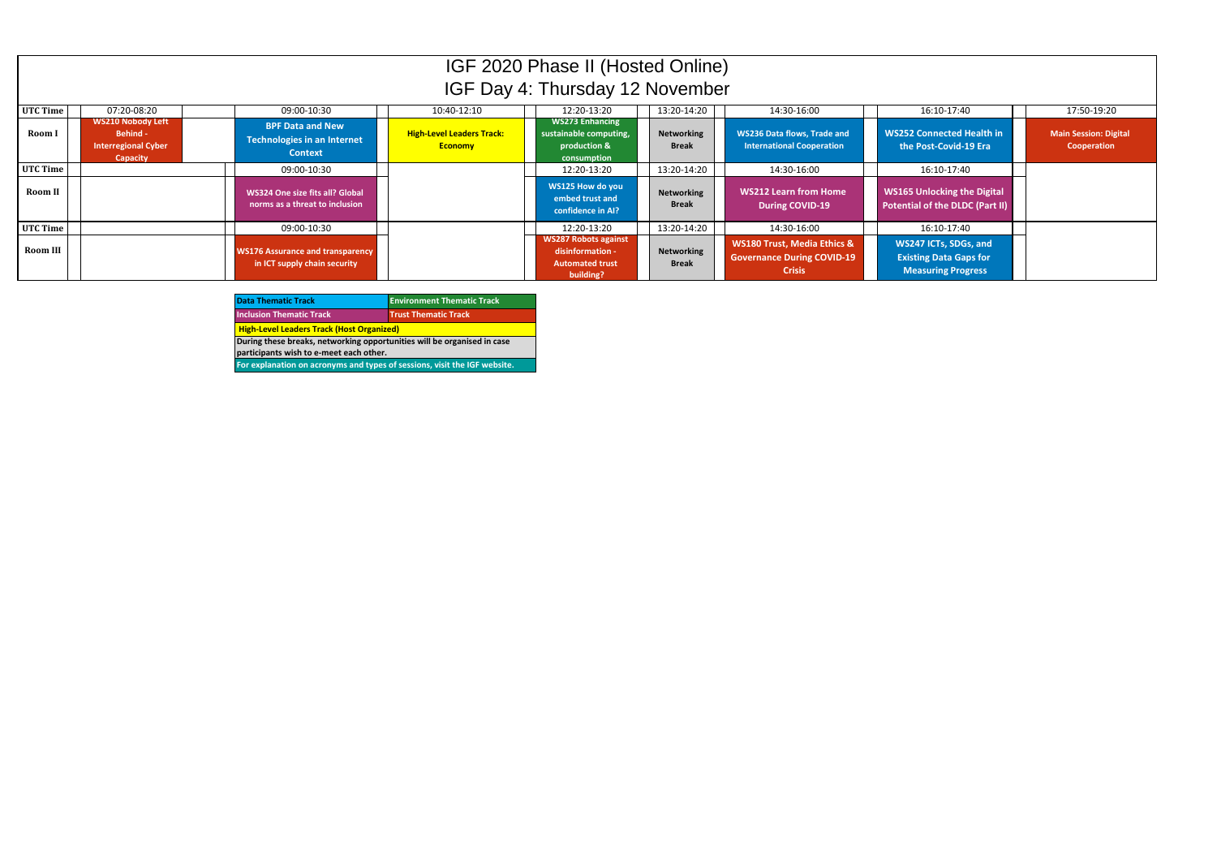| <b>Data Thematic Track</b>                                                | <b>Environment Thematic Track</b> |  |  |
|---------------------------------------------------------------------------|-----------------------------------|--|--|
| <b>Inclusion Thematic Track</b>                                           | <b>Trust Thematic Track</b>       |  |  |
| <b>High-Level Leaders Track (Host Organized)</b>                          |                                   |  |  |
| During these breaks, networking opportunities will be organised in case   |                                   |  |  |
| participants wish to e-meet each other.                                   |                                   |  |  |
| For explanation on acronyms and types of sessions, visit the IGF website. |                                   |  |  |

|          | IGF 2020 Phase II (Hosted Online)<br>IGF Day 4: Thursday 12 November                         |                                                                          |                                                    |                                                                                        |                                   |                                                                                              |                                                                                     |                                      |
|----------|----------------------------------------------------------------------------------------------|--------------------------------------------------------------------------|----------------------------------------------------|----------------------------------------------------------------------------------------|-----------------------------------|----------------------------------------------------------------------------------------------|-------------------------------------------------------------------------------------|--------------------------------------|
| UTC Time | 07:20-08:20                                                                                  | 09:00-10:30                                                              | 10:40-12:10                                        | 12:20-13:20                                                                            | 13:20-14:20                       | 14:30-16:00                                                                                  | 16:10-17:40                                                                         | 17:50-19:20                          |
| Room I   | <b>WS210 Nobody Left</b><br><b>Behind -</b><br><b>Interregional Cyber</b><br><b>Capacity</b> | <b>BPF Data and New</b><br>Technologies in an Internet<br><b>Context</b> | <b>High-Level Leaders Track:</b><br><b>Economy</b> | <b>WS273 Enhancing</b><br>sustainable computing,<br>production &<br>consumption        | <b>Networking</b><br><b>Break</b> | <b>WS236 Data flows, Trade and</b><br><b>International Cooperation</b>                       | <b>WS252 Connected Health in</b><br>the Post-Covid-19 Era                           | Main Session: Digital<br>Cooperation |
| UTC Time |                                                                                              | 09:00-10:30                                                              |                                                    | 12:20-13:20                                                                            | 13:20-14:20                       | 14:30-16:00                                                                                  | 16:10-17:40                                                                         |                                      |
| Room II  |                                                                                              | WS324 One size fits all? Global<br>norms as a threat to inclusion        |                                                    | WS125 How do you<br>embed trust and<br>confidence in AI?                               | <b>Networking</b><br><b>Break</b> | <b>WS212 Learn from Home</b><br><b>During COVID-19</b>                                       | <b>WS165 Unlocking the Digital</b><br>Potential of the DLDC (Part II)               |                                      |
| UTC Time |                                                                                              | 09:00-10:30                                                              |                                                    | 12:20-13:20                                                                            | 13:20-14:20                       | 14:30-16:00                                                                                  | 16:10-17:40                                                                         |                                      |
| Room III |                                                                                              | <b>WS176 Assurance and transparency</b><br>in ICT supply chain security  |                                                    | <b>WS287 Robots against</b><br>disinformation -<br><b>Automated trust</b><br>building? | <b>Networking</b><br><b>Break</b> | <b>WS180 Trust, Media Ethics &amp;</b><br><b>Governance During COVID-19</b><br><b>Crisis</b> | WS247 ICTs, SDGs, and<br><b>Existing Data Gaps for</b><br><b>Measuring Progress</b> |                                      |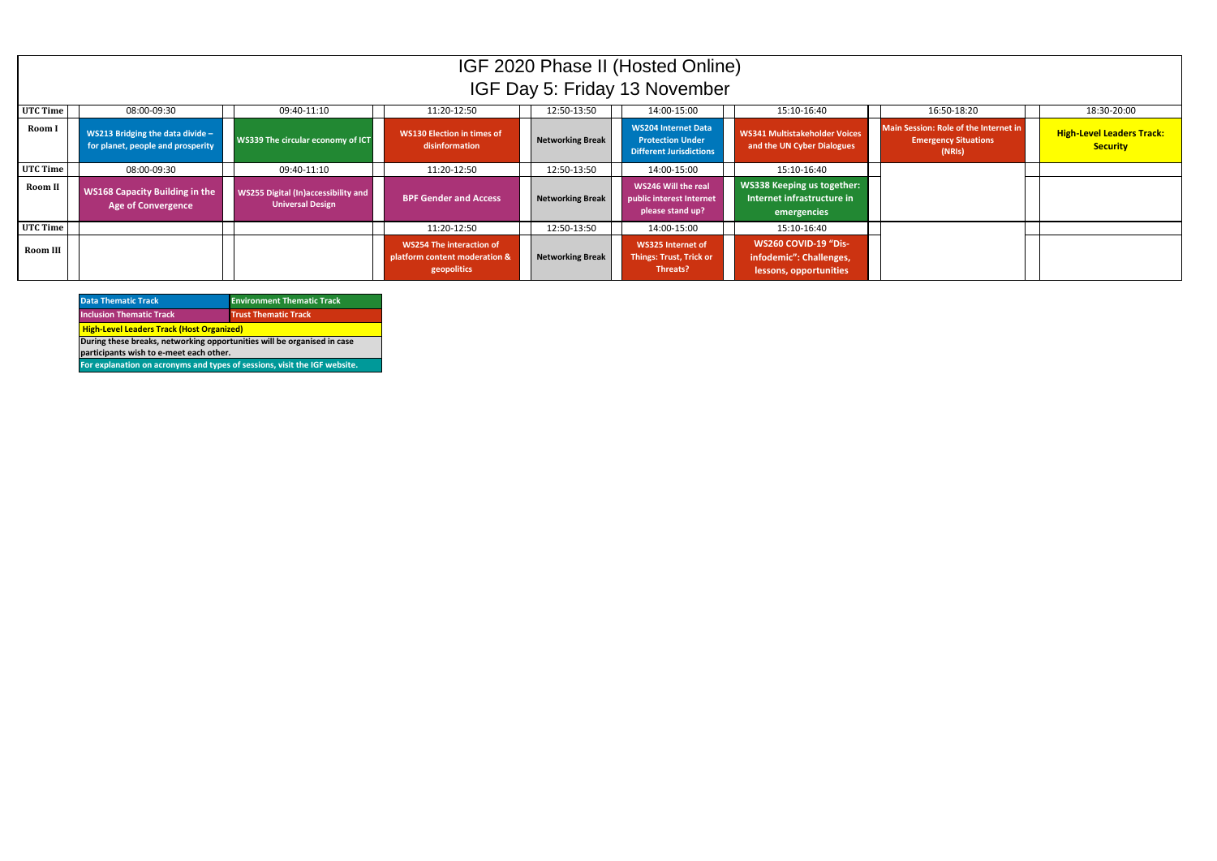| <b>Data Thematic Track</b>                                                | <b>Environment Thematic Track</b> |  |  |  |
|---------------------------------------------------------------------------|-----------------------------------|--|--|--|
| <b>Inclusion Thematic Track</b>                                           | <b>Trust Thematic Track</b>       |  |  |  |
| <b>High-Level Leaders Track (Host Organized)</b>                          |                                   |  |  |  |
| During these breaks, networking opportunities will be organised in case   |                                   |  |  |  |
| participants wish to e-meet each other.                                   |                                   |  |  |  |
| For explanation on acronyms and types of sessions, visit the IGF website. |                                   |  |  |  |

|          | IGF 2020 Phase II (Hosted Online)<br>IGF Day 5: Friday 13 November            |                                                                       |                                                                          |                         |                                                                                         |                                                                                  |                                                                                |                                                     |
|----------|-------------------------------------------------------------------------------|-----------------------------------------------------------------------|--------------------------------------------------------------------------|-------------------------|-----------------------------------------------------------------------------------------|----------------------------------------------------------------------------------|--------------------------------------------------------------------------------|-----------------------------------------------------|
| UTC Time | 08:00-09:30                                                                   | 09:40-11:10                                                           | 11:20-12:50                                                              | 12:50-13:50             | 14:00-15:00                                                                             | 15:10-16:40                                                                      | 16:50-18:20                                                                    | 18:30-20:00                                         |
| Room I   | <b>WS213 Bridging the data divide - </b><br>for planet, people and prosperity | WS339 The circular economy of ICT                                     | <b>WS130 Election in times of</b><br>disinformation                      | <b>Networking Break</b> | <b>WS204 Internet Data</b><br><b>Protection Under</b><br><b>Different Jurisdictions</b> | <b>WS341 Multistakeholder Voices</b><br>and the UN Cyber Dialogues               | Main Session: Role of the Internet in<br><b>Emergency Situations</b><br>(NRIs) | <b>High-Level Leaders Track:</b><br><b>Security</b> |
| UTC Time | 08:00-09:30                                                                   | 09:40-11:10                                                           | 11:20-12:50                                                              | 12:50-13:50             | 14:00-15:00                                                                             | 15:10-16:40                                                                      |                                                                                |                                                     |
| Room II  | <b>WS168 Capacity Building in the</b><br><b>Age of Convergence</b>            | <b>WS255 Digital (In)accessibility and</b><br><b>Universal Design</b> | <b>BPF Gender and Access</b>                                             | <b>Networking Break</b> | WS246 Will the real<br>public interest Internet<br>please stand up?                     | <b>WS338 Keeping us together:</b><br>Internet infrastructure in<br>emergencies   |                                                                                |                                                     |
| UTC Time |                                                                               |                                                                       | 11:20-12:50                                                              | 12:50-13:50             | 14:00-15:00                                                                             | 15:10-16:40                                                                      |                                                                                |                                                     |
| Room III |                                                                               |                                                                       | WS254 The interaction of<br>platform content moderation &<br>geopolitics | <b>Networking Break</b> | WS325 Internet of<br><b>Things: Trust, Trick or</b><br>Threats?                         | <b>WS260 COVID-19 "Dis-</b><br>infodemic": Challenges,<br>lessons, opportunities |                                                                                |                                                     |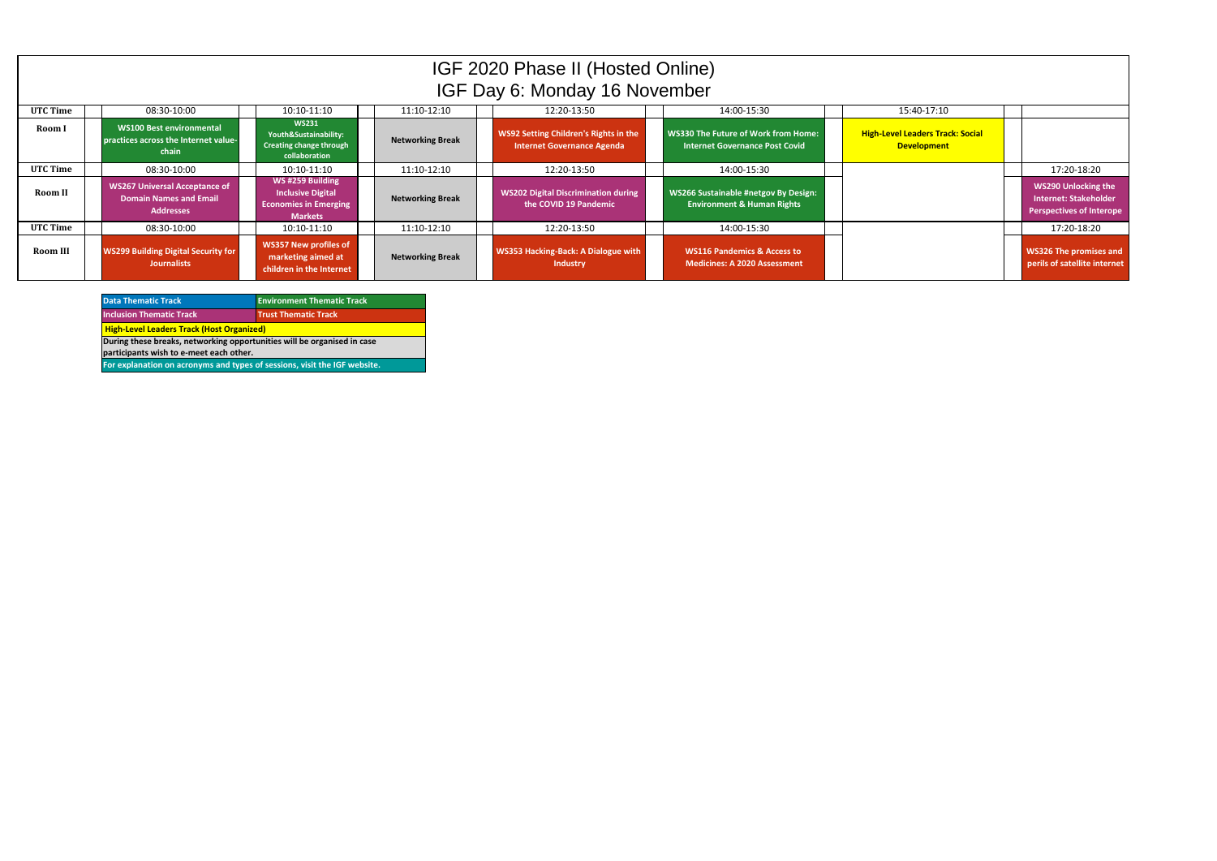| <b>Data Thematic Track</b>                                                | <b>Environment Thematic Track</b> |  |  |  |
|---------------------------------------------------------------------------|-----------------------------------|--|--|--|
| <b>Inclusion Thematic Track</b>                                           | <b>Trust Thematic Track</b>       |  |  |  |
| <b>High-Level Leaders Track (Host Organized)</b>                          |                                   |  |  |  |
| During these breaks, networking opportunities will be organised in case   |                                   |  |  |  |
| participants wish to e-meet each other.                                   |                                   |  |  |  |
| For explanation on acronyms and types of sessions, visit the IGF website. |                                   |  |  |  |

|          |                                                                                    |                                                                                               |                         | IGF 2020 Phase II (Hosted Online)<br>IGF Day 6: Monday 16 November         |                                                                                     |                                                               |                                                                                               |
|----------|------------------------------------------------------------------------------------|-----------------------------------------------------------------------------------------------|-------------------------|----------------------------------------------------------------------------|-------------------------------------------------------------------------------------|---------------------------------------------------------------|-----------------------------------------------------------------------------------------------|
| UTC Time | 08:30-10:00                                                                        | 10:10-11:10                                                                                   | 11:10-12:10             | 12:20-13:50                                                                | 14:00-15:30                                                                         | 15:40-17:10                                                   |                                                                                               |
| Room I   | <b>WS100 Best environmental</b><br>practices across the Internet value-<br>chain   | <b>WS231</b><br>Youth&Sustainability:<br>Creating change through<br>collaboration             | <b>Networking Break</b> | WS92 Setting Children's Rights in the<br><b>Internet Governance Agenda</b> | <b>WS330 The Future of Work from Home:</b><br><b>Internet Governance Post Covid</b> | <b>High-Level Leaders Track: Social</b><br><b>Development</b> |                                                                                               |
| UTC Time | 08:30-10:00                                                                        | 10:10-11:10                                                                                   | 11:10-12:10             | 12:20-13:50                                                                | 14:00-15:30                                                                         |                                                               | 17:20-18:20                                                                                   |
| Room II  | <b>WS267 Universal Acceptance of</b><br>Domain Names and Email<br><b>Addresses</b> | WS#259 Building<br><b>Inclusive Digital</b><br><b>Economies in Emerging</b><br><b>Markets</b> | <b>Networking Break</b> | <b>WS202 Digital Discrimination during</b><br>the COVID 19 Pandemic        | WS266 Sustainable #netgov By Design:<br><b>Environment &amp; Human Rights</b>       |                                                               | <b>WS290 Unlocking the</b><br><b>Internet: Stakeholder</b><br><b>Perspectives of Interope</b> |
| UTC Time | 08:30-10:00                                                                        | 10:10-11:10                                                                                   | 11:10-12:10             | 12:20-13:50                                                                | 14:00-15:30                                                                         |                                                               | 17:20-18:20                                                                                   |
| Room III | <b>WS299 Building Digital Security for</b><br><b>Journalists</b>                   | <b>WS357 New profiles of</b><br>marketing aimed at<br>children in the Internet                | <b>Networking Break</b> | WS353 Hacking-Back: A Dialogue with<br><b>Industry</b>                     | <b>WS116 Pandemics &amp; Access to</b><br><b>Medicines: A 2020 Assessment</b>       |                                                               | <b>WS326 The promises and</b><br>perils of satellite internet                                 |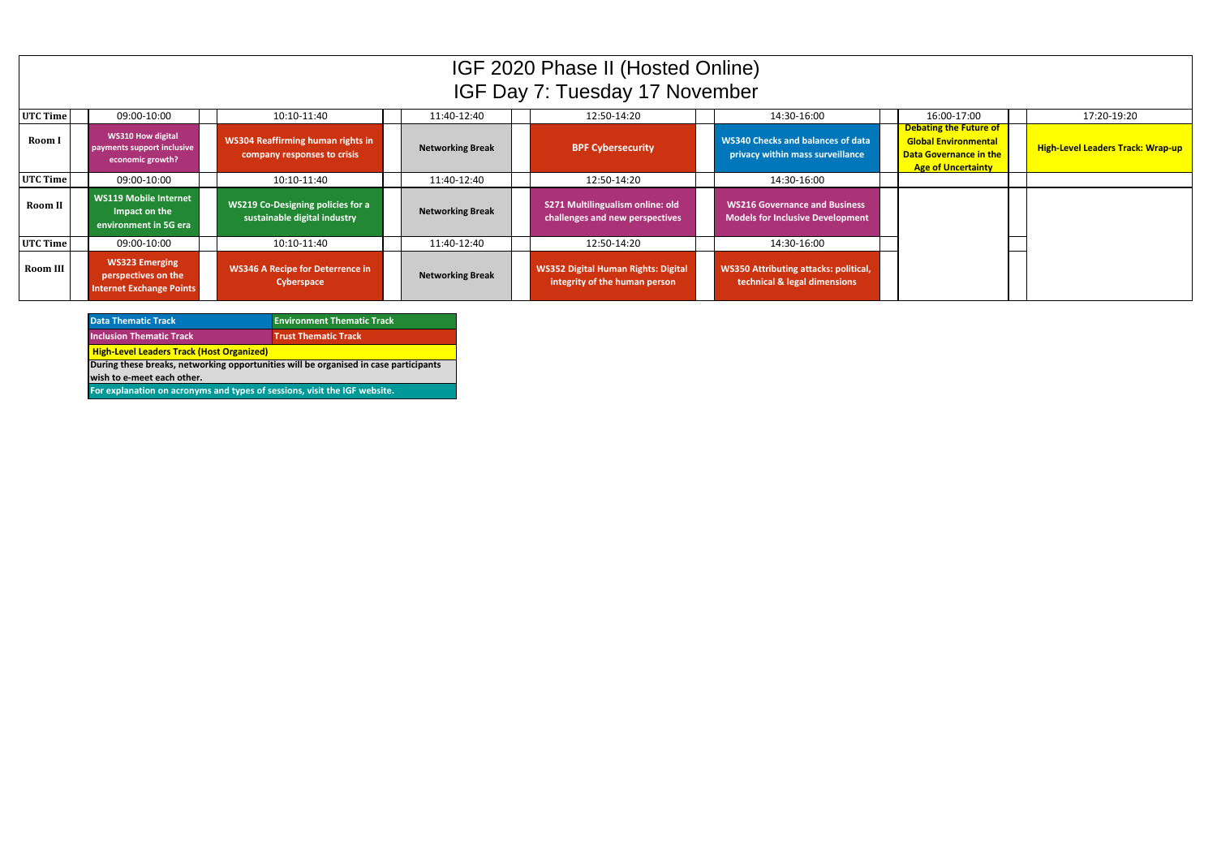|                 |                                                                                 |                                                                          |                         | IGF 2020 Phase II (Hosted Online)<br>IGF Day 7: Tuesday 17 November         |                                                                                 |                                                                                                                            |                                          |
|-----------------|---------------------------------------------------------------------------------|--------------------------------------------------------------------------|-------------------------|-----------------------------------------------------------------------------|---------------------------------------------------------------------------------|----------------------------------------------------------------------------------------------------------------------------|------------------------------------------|
| UTC Time        | 09:00-10:00                                                                     | 10:10-11:40                                                              | 11:40-12:40             | 12:50-14:20                                                                 | 14:30-16:00                                                                     | 16:00-17:00                                                                                                                | 17:20-19:20                              |
| <b>Room I</b>   | <b>WS310 How digital</b><br>payments support inclusive<br>economic growth?      | <b>WS304 Reaffirming human rights in</b><br>company responses to crisis  | <b>Networking Break</b> | <b>BPF Cybersecurity</b>                                                    | <b>WS340 Checks and balances of data</b><br>privacy within mass surveillance    | <b>Debating the Future of</b><br><b>Global Environmental</b><br><b>Data Governance in the</b><br><b>Age of Uncertainty</b> | <b>High-Level Leaders Track: Wrap-up</b> |
| UTC Time        | 09:00-10:00                                                                     | 10:10-11:40                                                              | 11:40-12:40             | 12:50-14:20                                                                 | 14:30-16:00                                                                     |                                                                                                                            |                                          |
| Room II         | <b>WS119 Mobile Internet</b><br>Impact on the<br>environment in 5G era          | <b>WS219 Co-Designing policies for a</b><br>sustainable digital industry | <b>Networking Break</b> | S271 Multilingualism online: old<br>challenges and new perspectives         | <b>WS216 Governance and Business</b><br><b>Models for Inclusive Development</b> |                                                                                                                            |                                          |
| UTC Time        | 09:00-10:00                                                                     | 10:10-11:40                                                              | 11:40-12:40             | 12:50-14:20                                                                 | 14:30-16:00                                                                     |                                                                                                                            |                                          |
| <b>Room III</b> | <b>WS323 Emerging</b><br>perspectives on the<br><b>Internet Exchange Points</b> | <b>WS346 A Recipe for Deterrence in</b><br>Cyberspace                    | <b>Networking Break</b> | <b>WS352 Digital Human Rights: Digital</b><br>integrity of the human person | <b>WS350 Attributing attacks: political,</b><br>technical & legal dimensions    |                                                                                                                            |                                          |

| <b>Data Thematic Track</b>                                                           | <b>Environment Thematic Track</b> |  |  |  |  |  |
|--------------------------------------------------------------------------------------|-----------------------------------|--|--|--|--|--|
| <b>Inclusion Thematic Track</b>                                                      | <b>Trust Thematic Track</b>       |  |  |  |  |  |
| <b>High-Level Leaders Track (Host Organized)</b>                                     |                                   |  |  |  |  |  |
| During these breaks, networking opportunities will be organised in case participants |                                   |  |  |  |  |  |
| wish to e-meet each other.                                                           |                                   |  |  |  |  |  |
| For explanation on acronyms and types of sessions, visit the IGF website.            |                                   |  |  |  |  |  |